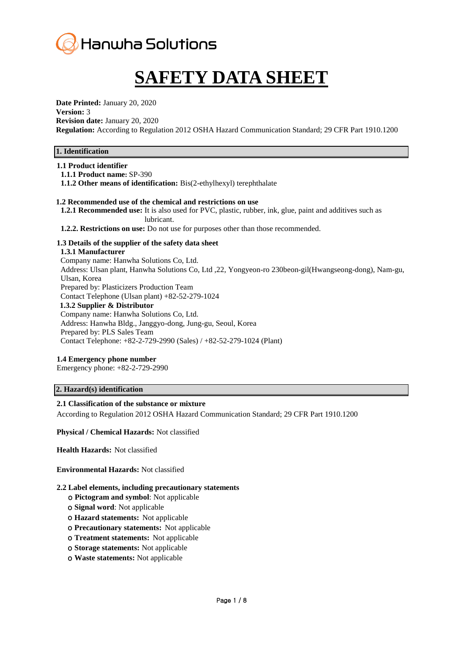

# **SAFETY DATA SHEET**

**Date Printed:** January 20, 2020 **Version:** 3 **Revision date:** January 20, 2020 **Regulation:** According to Regulation 2012 OSHA Hazard Communication Standard; 29 CFR Part 1910.1200

## **1. Identification**

## **1.1 Product identifier**

**1.1.1 Product name:** SP-390

**1.1.2 Other means of identification:** Bis(2-ethylhexyl) terephthalate

## **1.2 Recommended use of the chemical and restrictions on use**

**1.2.1 Recommended use:** It is also used for PVC, plastic, rubber, ink, glue, paint and additives such as lubricant.

**1.2.2. Restrictions on use:** Do not use for purposes other than those recommended.

#### **1.3 Details of the supplier of the safety data sheet**

#### **1.3.1 Manufacturer**

Company name: Hanwha Solutions Co, Ltd. Address: Ulsan plant, Hanwha Solutions Co, Ltd ,22, Yongyeon-ro 230beon-gil(Hwangseong-dong), Nam-gu, Ulsan, Korea Prepared by: Plasticizers Production Team Contact Telephone (Ulsan plant) +82-52-279-1024 **1.3.2 Supplier & Distributor** Company name: Hanwha Solutions Co, Ltd. Address: Hanwha Bldg., Janggyo-dong, Jung-gu, Seoul, Korea Prepared by: PLS Sales Team Contact Telephone: +82-2-729-2990 (Sales) / +82-52-279-1024 (Plant)

## **1.4 Emergency phone number**

Emergency phone: +82-2-729-2990

## **2. Hazard(s) identification**

## **2.1 Classification of the substance or mixture**

According to Regulation 2012 OSHA Hazard Communication Standard; 29 CFR Part 1910.1200

**Physical / Chemical Hazards:** Not classified

**Health Hazards:** Not classified

#### **Environmental Hazards:** Not classified

## **2.2 Label elements, including precautionary statements**

- ο **Pictogram and symbol**: Not applicable
- ο **Signal word**: Not applicable
- ο **Hazard statements:** Not applicable
- ο **Precautionary statements:** Not applicable
- ο **Treatment statements:** Not applicable
- ο **Storage statements:** Not applicable
- ο **Waste statements:** Not applicable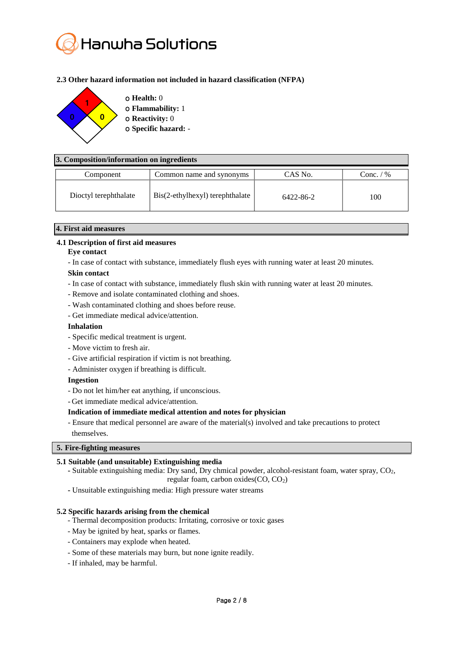

## **2.3 Other hazard information not included in hazard classification (NFPA)**



## **3. Composition/information on ingredients**

| Component             | Common name and synonyms        | CAS No.   | Conc. $/$ % |
|-----------------------|---------------------------------|-----------|-------------|
| Dioctyl terephthalate | Bis(2-ethylhexyl) terephthalate | 6422-86-2 | 100         |

## **4. First aid measures**

# **4.1 Description of first aid measures**

#### **Eye contact**

- In case of contact with substance, immediately flush eyes with running water at least 20 minutes.

## **Skin contact**

- In case of contact with substance, immediately flush skin with running water at least 20 minutes.
- Remove and isolate contaminated clothing and shoes.
- Wash contaminated clothing and shoes before reuse.
- Get immediate medical advice/attention.

## **Inhalation**

- Specific medical treatment is urgent.
- Move victim to fresh air.
- Give artificial respiration if victim is not breathing.
- Administer oxygen if breathing is difficult.

## **Ingestion**

- Do not let him/her eat anything, if unconscious.
- Get immediate medical advice/attention.

## **Indication of immediate medical attention and notes for physician**

- Ensure that medical personnel are aware of the material(s) involved and take precautions to protect themselves.

## **5. Fire-fighting measures**

## **5.1 Suitable (and unsuitable) Extinguishing media**

- **-** Suitable extinguishing media: Dry sand, Dry chmical powder, alcohol-resistant foam, water spray, CO2, regular foam, carbon oxides(CO, CO2)
- **-** Unsuitable extinguishing media: High pressure water streams

## **5.2 Specific hazards arising from the chemical**

- Thermal decomposition products: Irritating, corrosive or toxic gases
- May be ignited by heat, sparks or flames.
- Containers may explode when heated.
- Some of these materials may burn, but none ignite readily.
- If inhaled, may be harmful.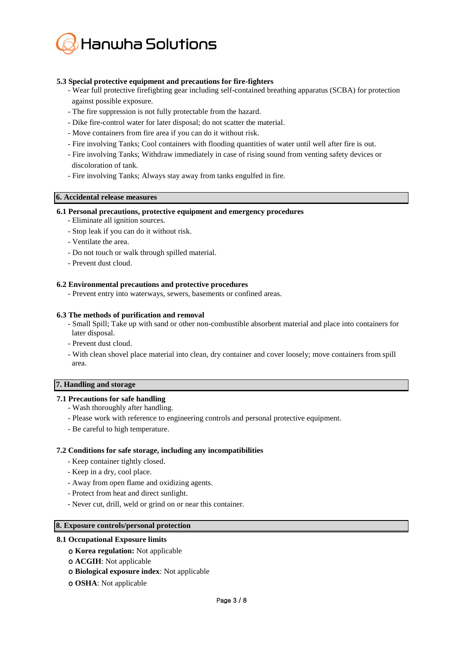

## **5.3 Special protective equipment and precautions for fire-fighters**

- Wear full protective firefighting gear including self-contained breathing apparatus (SCBA) for protection against possible exposure.
- The fire suppression is not fully protectable from the hazard.
- Dike fire-control water for later disposal; do not scatter the material.
- Move containers from fire area if you can do it without risk.
- Fire involving Tanks; Cool containers with flooding quantities of water until well after fire is out.
- Fire involving Tanks; Withdraw immediately in case of rising sound from venting safety devices or discoloration of tank.
- Fire involving Tanks; Always stay away from tanks engulfed in fire.

## **6. Accidental release measures**

#### **6.1 Personal precautions, protective equipment and emergency procedures**

- Eliminate all ignition sources.
- Stop leak if you can do it without risk.
- Ventilate the area.
- Do not touch or walk through spilled material.
- Prevent dust cloud.

## **6.2 Environmental precautions and protective procedures**

- Prevent entry into waterways, sewers, basements or confined areas.

#### **6.3 The methods of purification and removal**

- Small Spill; Take up with sand or other non-combustible absorbent material and place into containers for later disposal.
- Prevent dust cloud.
- With clean shovel place material into clean, dry container and cover loosely; move containers from spill area.

# **7. Handling and storage**

## **7.1 Precautions for safe handling**

- Wash thoroughly after handling.
- Please work with reference to engineering controls and personal protective equipment.
- Be careful to high temperature.

#### **7.2 Conditions for safe storage, including any incompatibilities**

- Keep container tightly closed.
- Keep in a dry, cool place.
- Away from open flame and oxidizing agents.
- Protect from heat and direct sunlight.
- Never cut, drill, weld or grind on or near this container.

#### **8. Exposure controls/personal protection**

## **8.1 Occupational Exposure limits**

- ο **Korea regulation:** Not applicable
- ο **ACGIH**: Not applicable
- ο **Biological exposure index**: Not applicable
- ο **OSHA**: Not applicable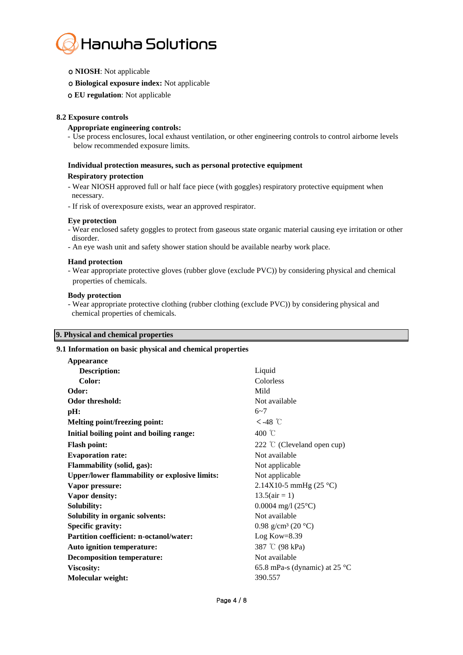

- ο **NIOSH**: Not applicable
- ο **Biological exposure index:** Not applicable
- ο **EU regulation**: Not applicable

#### **8.2 Exposure controls**

#### **Appropriate engineering controls:**

- Use process enclosures, local exhaust ventilation, or other engineering controls to control airborne levels below recommended exposure limits.

## **Individual protection measures, such as personal protective equipment Respiratory protection**

- Wear NIOSH approved full or half face piece (with goggles) respiratory protective equipment when necessary.
- If risk of overexposure exists, wear an approved respirator.

#### **Eye protection**

- Wear enclosed safety goggles to protect from gaseous state organic material causing eye irritation or other disorder.
- An eye wash unit and safety shower station should be available nearby work place.

#### **Hand protection**

- Wear appropriate protective gloves (rubber glove (exclude PVC)) by considering physical and chemical properties of chemicals.

#### **Body protection**

- Wear appropriate protective clothing (rubber clothing (exclude PVC)) by considering physical and chemical properties of chemicals.

#### **9. Physical and chemical properties**

#### **9.1 Information on basic physical and chemical properties**

| Appearance                                           |                                         |
|------------------------------------------------------|-----------------------------------------|
| <b>Description:</b>                                  | Liquid                                  |
| Color:                                               | Colorless                               |
| Odor:                                                | Mild                                    |
| <b>Odor threshold:</b>                               | Not available                           |
| pH:                                                  | $6 - 7$                                 |
| Melting point/freezing point:                        | $<$ -48 ℃                               |
| Initial boiling point and boiling range:             | 400 °C                                  |
| <b>Flash point:</b>                                  | 222 $\degree$ (Cleveland open cup)      |
| <b>Evaporation rate:</b>                             | Not available                           |
| <b>Flammability (solid, gas):</b>                    | Not applicable                          |
| <b>Upper/lower flammability or explosive limits:</b> | Not applicable                          |
| Vapor pressure:                                      | 2.14X10-5 mmHg $(25 °C)$                |
| Vapor density:                                       | $13.5(air = 1)$                         |
| <b>Solubility:</b>                                   | $0.0004$ mg/l $(25^{\circ}C)$           |
| Solubility in organic solvents:                      | Not available                           |
| <b>Specific gravity:</b>                             | 0.98 g/cm <sup>3</sup> (20 °C)          |
| <b>Partition coefficient: n-octanol/water:</b>       | Log Kow=8.39                            |
| Auto ignition temperature:                           | 387 °C (98 kPa)                         |
| <b>Decomposition temperature:</b>                    | Not available                           |
| Viscosity:                                           | 65.8 mPa-s (dynamic) at 25 $^{\circ}$ C |
| Molecular weight:                                    | 390.557                                 |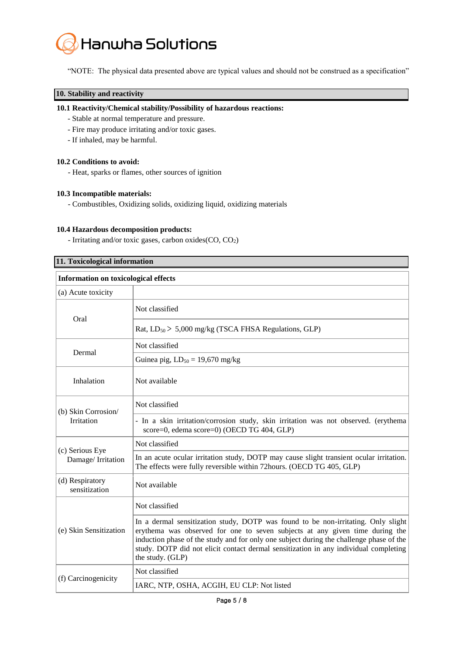

"NOTE: The physical data presented above are typical values and should not be construed as a specification"

## **10. Stability and reactivity**

#### **10.1 Reactivity/Chemical stability/Possibility of hazardous reactions:**

- Stable at normal temperature and pressure.
- Fire may produce irritating and/or toxic gases.
- If inhaled, may be harmful.

#### **10.2 Conditions to avoid:**

- Heat, sparks or flames, other sources of ignition

#### **10.3 Incompatible materials:**

- Combustibles, Oxidizing solids, oxidizing liquid, oxidizing materials

#### **10.4 Hazardous decomposition products:**

- Irritating and/or toxic gases, carbon oxides(CO, CO2)

| 11. Toxicological information               |                                                                                                                                                                                                                                                                                                                                                                          |  |  |
|---------------------------------------------|--------------------------------------------------------------------------------------------------------------------------------------------------------------------------------------------------------------------------------------------------------------------------------------------------------------------------------------------------------------------------|--|--|
| <b>Information on toxicological effects</b> |                                                                                                                                                                                                                                                                                                                                                                          |  |  |
| (a) Acute toxicity                          |                                                                                                                                                                                                                                                                                                                                                                          |  |  |
| Oral                                        | Not classified                                                                                                                                                                                                                                                                                                                                                           |  |  |
|                                             | Rat, $LD_{50}$ > 5,000 mg/kg (TSCA FHSA Regulations, GLP)                                                                                                                                                                                                                                                                                                                |  |  |
| Dermal                                      | Not classified                                                                                                                                                                                                                                                                                                                                                           |  |  |
|                                             | Guinea pig, $LD_{50} = 19,670$ mg/kg                                                                                                                                                                                                                                                                                                                                     |  |  |
| Inhalation                                  | Not available                                                                                                                                                                                                                                                                                                                                                            |  |  |
| (b) Skin Corrosion/<br><b>Irritation</b>    | Not classified                                                                                                                                                                                                                                                                                                                                                           |  |  |
|                                             | - In a skin irritation/corrosion study, skin irritation was not observed. (erythema<br>score=0, edema score=0) (OECD TG 404, GLP)                                                                                                                                                                                                                                        |  |  |
| (c) Serious Eye<br>Damage/Irritation        | Not classified                                                                                                                                                                                                                                                                                                                                                           |  |  |
|                                             | In an acute ocular irritation study, DOTP may cause slight transient ocular irritation.<br>The effects were fully reversible within 72hours. (OECD TG 405, GLP)                                                                                                                                                                                                          |  |  |
| (d) Respiratory<br>sensitization            | Not available                                                                                                                                                                                                                                                                                                                                                            |  |  |
| (e) Skin Sensitization                      | Not classified                                                                                                                                                                                                                                                                                                                                                           |  |  |
|                                             | In a dermal sensitization study, DOTP was found to be non-irritating. Only slight<br>erythema was observed for one to seven subjects at any given time during the<br>induction phase of the study and for only one subject during the challenge phase of the<br>study. DOTP did not elicit contact dermal sensitization in any individual completing<br>the study. (GLP) |  |  |
| (f) Carcinogenicity                         | Not classified                                                                                                                                                                                                                                                                                                                                                           |  |  |
|                                             | IARC, NTP, OSHA, ACGIH, EU CLP: Not listed                                                                                                                                                                                                                                                                                                                               |  |  |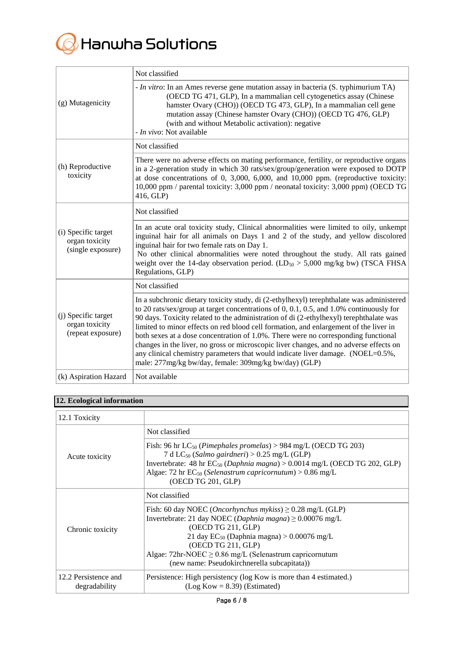

| (g) Mutagenicity                                           | Not classified                                                                                                                                                                                                                                                                                                                                                                                                                                                                                                                                                                                                                                                                                                 |
|------------------------------------------------------------|----------------------------------------------------------------------------------------------------------------------------------------------------------------------------------------------------------------------------------------------------------------------------------------------------------------------------------------------------------------------------------------------------------------------------------------------------------------------------------------------------------------------------------------------------------------------------------------------------------------------------------------------------------------------------------------------------------------|
|                                                            | - <i>In vitro</i> : In an Ames reverse gene mutation assay in bacteria (S. typhimurium TA)<br>(OECD TG 471, GLP), In a mammalian cell cytogenetics assay (Chinese<br>hamster Ovary (CHO)) (OECD TG 473, GLP), In a mammalian cell gene<br>mutation assay (Chinese hamster Ovary (CHO)) (OECD TG 476, GLP)<br>(with and without Metabolic activation): negative<br>- In vivo: Not available                                                                                                                                                                                                                                                                                                                     |
| (h) Reproductive<br>toxicity                               | Not classified                                                                                                                                                                                                                                                                                                                                                                                                                                                                                                                                                                                                                                                                                                 |
|                                                            | There were no adverse effects on mating performance, fertility, or reproductive organs<br>in a 2-generation study in which 30 rats/sex/group/generation were exposed to DOTP<br>at dose concentrations of 0, 3,000, 6,000, and 10,000 ppm. (reproductive toxicity:<br>10,000 ppm / parental toxicity: 3,000 ppm / neonatal toxicity: 3,000 ppm) (OECD TG<br>416, GLP)                                                                                                                                                                                                                                                                                                                                          |
| (i) Specific target<br>organ toxicity<br>(single exposure) | Not classified                                                                                                                                                                                                                                                                                                                                                                                                                                                                                                                                                                                                                                                                                                 |
|                                                            | In an acute oral toxicity study, Clinical abnormalities were limited to oily, unkempt<br>inguinal hair for all animals on Days 1 and 2 of the study, and yellow discolored<br>inguinal hair for two female rats on Day 1.<br>No other clinical abnormalities were noted throughout the study. All rats gained<br>weight over the 14-day observation period. (LD <sub>50</sub> > 5,000 mg/kg bw) (TSCA FHSA<br>Regulations, GLP)                                                                                                                                                                                                                                                                                |
| (j) Specific target<br>organ toxicity<br>(repeat exposure) | Not classified                                                                                                                                                                                                                                                                                                                                                                                                                                                                                                                                                                                                                                                                                                 |
|                                                            | In a subchronic dietary toxicity study, di (2-ethylhexyl) terephthalate was administered<br>to 20 rats/sex/group at target concentrations of $0$ , $0.1$ , $0.5$ , and $1.0\%$ continuously for<br>90 days. Toxicity related to the administration of di (2-ethylhexyl) terephthalate was<br>limited to minor effects on red blood cell formation, and enlargement of the liver in<br>both sexes at a dose concentration of 1.0%. There were no corresponding functional<br>changes in the liver, no gross or microscopic liver changes, and no adverse effects on<br>any clinical chemistry parameters that would indicate liver damage. (NOEL=0.5%,<br>male: 277mg/kg bw/day, female: 309mg/kg bw/day) (GLP) |
| (k) Aspiration Hazard                                      | Not available                                                                                                                                                                                                                                                                                                                                                                                                                                                                                                                                                                                                                                                                                                  |

# **12. Ecological information**

| 12.1 Toxicity                         |                                                                                                                                                                                                                                                                                                                                                           |
|---------------------------------------|-----------------------------------------------------------------------------------------------------------------------------------------------------------------------------------------------------------------------------------------------------------------------------------------------------------------------------------------------------------|
| Acute toxicity                        | Not classified                                                                                                                                                                                                                                                                                                                                            |
|                                       | Fish: 96 hr $LC_{50}$ (Pimephales promelas) > 984 mg/L (OECD TG 203)<br>7 d LC <sub>50</sub> (Salmo gairdneri) > 0.25 mg/L (GLP)<br>Invertebrate: 48 hr $EC_{50}$ (Daphnia magna) > 0.0014 mg/L (OECD TG 202, GLP)<br>Algae: 72 hr $EC_{50}$ (Selenastrum capricornutum) > 0.86 mg/L<br>(OECD TG 201, GLP)                                                |
| Chronic toxicity                      | Not classified                                                                                                                                                                                                                                                                                                                                            |
|                                       | Fish: 60 day NOEC ( <i>Oncorhynchus mykiss</i> ) $\geq$ 0.28 mg/L (GLP)<br>Invertebrate: 21 day NOEC (Daphnia magna) $\geq 0.00076$ mg/L<br>(OECD TG 211, GLP)<br>21 day $EC_{50}$ (Daphnia magna) > 0.00076 mg/L<br>(OECD TG 211, GLP)<br>Algae: $72$ hr-NOEC $\geq 0.86$ mg/L (Selenastrum capricornutum<br>(new name: Pseudokirchnerella subcapitata)) |
| 12.2 Persistence and<br>degradability | Persistence: High persistency (log Kow is more than 4 estimated.)<br>$(Log Kow = 8.39)$ (Estimated)                                                                                                                                                                                                                                                       |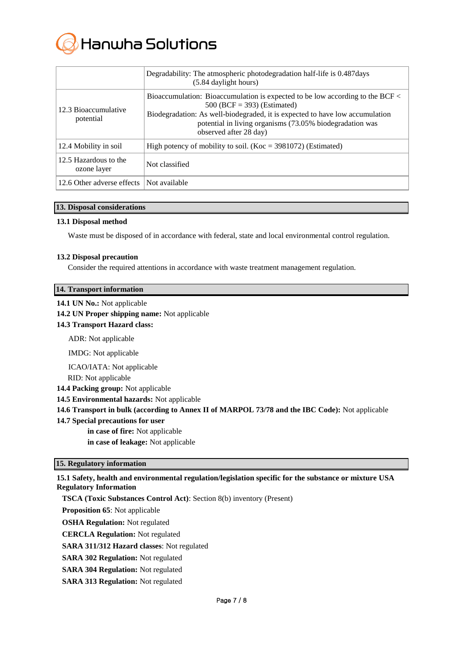

|                                      | Degradability: The atmospheric photodegradation half-life is 0.487 days<br>(5.84 daylight hours)                                                                                                                                                                                     |
|--------------------------------------|--------------------------------------------------------------------------------------------------------------------------------------------------------------------------------------------------------------------------------------------------------------------------------------|
| 12.3 Bioaccumulative<br>potential    | Bioaccumulation: Bioaccumulation is expected to be low according to the BCF <<br>$500$ (BCF = 393) (Estimated)<br>Biodegradation: As well-biodegraded, it is expected to have low accumulation<br>potential in living organisms (73.05% biodegradation was<br>observed after 28 day) |
| 12.4 Mobility in soil                | High potency of mobility to soil. (Koc = $3981072$ ) (Estimated)                                                                                                                                                                                                                     |
| 12.5 Hazardous to the<br>ozone layer | Not classified                                                                                                                                                                                                                                                                       |
| 12.6 Other adverse effects           | Not available                                                                                                                                                                                                                                                                        |

## **13. Disposal considerations**

## **13.1 Disposal method**

Waste must be disposed of in accordance with federal, state and local environmental control regulation.

#### **13.2 Disposal precaution**

Consider the required attentions in accordance with waste treatment management regulation.

#### **14.1 UN No.:** Not applicable

#### **14.2 UN Proper shipping name:** Not applicable

**14.3 Transport Hazard class:** 

ADR: Not applicable

IMDG: Not applicable

ICAO/IATA: Not applicable

RID: Not applicable

**14.4 Packing group:** Not applicable

**14.5 Environmental hazards:** Not applicable

**14.6 Transport in bulk (according to Annex II of MARPOL 73/78 and the IBC Code):** Not applicable

**14.7 Special precautions for user**

**in case of fire:** Not applicable **in case of leakage:** Not applicable

## **15. Regulatory information**

## **15.1 Safety, health and environmental regulation/legislation specific for the substance or mixture USA Regulatory Information**

**TSCA (Toxic Substances Control Act)**: Section 8(b) inventory (Present)

**Proposition 65**: Not applicable

**OSHA Regulation:** Not regulated

**CERCLA Regulation:** Not regulated

**SARA 311/312 Hazard classes**: Not regulated

- **SARA 302 Regulation:** Not regulated
- **SARA 304 Regulation:** Not regulated
- **SARA 313 Regulation:** Not regulated